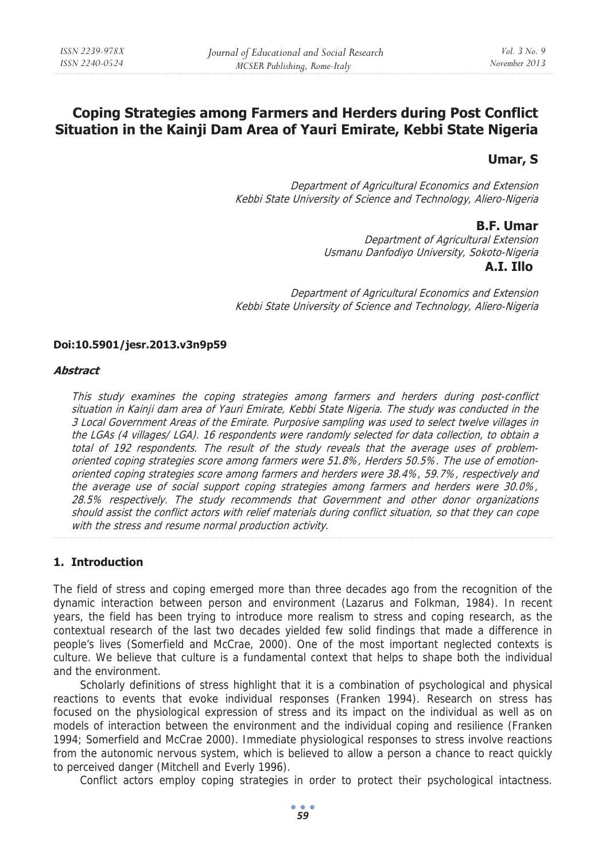# **Coping Strategies among Farmers and Herders during Post Conflict Situation in the Kainji Dam Area of Yauri Emirate, Kebbi State Nigeria**

## **Umar, S**

Department of Agricultural Economics and Extension Kebbi State University of Science and Technology, Aliero-Nigeria

## **B.F. Umar**

Department of Agricultural Extension Usmanu Danfodiyo University, Sokoto-Nigeria  **A.I. Illo**

Department of Agricultural Economics and Extension Kebbi State University of Science and Technology, Aliero-Nigeria

### **Doi:10.5901/jesr.2013.v3n9p59**

#### **Abstract**

This study examines the coping strategies among farmers and herders during post-conflict situation in Kainji dam area of Yauri Emirate, Kebbi State Nigeria. The study was conducted in the 3 Local Government Areas of the Emirate. Purposive sampling was used to select twelve villages in the LGAs (4 villages/ LGA). 16 respondents were randomly selected for data collection, to obtain a total of 192 respondents. The result of the study reveals that the average uses of problemoriented coping strategies score among farmers were 51.8%, Herders 50.5%. The use of emotionoriented coping strategies score among farmers and herders were 38.4%, 59.7%, respectively and the average use of social support coping strategies among farmers and herders were 30.0%, 28.5% respectively. The study recommends that Government and other donor organizations should assist the conflict actors with relief materials during conflict situation, so that they can cope with the stress and resume normal production activity.

## **1. Introduction**

The field of stress and coping emerged more than three decades ago from the recognition of the dynamic interaction between person and environment (Lazarus and Folkman, 1984). In recent years, the field has been trying to introduce more realism to stress and coping research, as the contextual research of the last two decades yielded few solid findings that made a difference in people's lives (Somerfield and McCrae, 2000). One of the most important neglected contexts is culture. We believe that culture is a fundamental context that helps to shape both the individual and the environment.

Scholarly definitions of stress highlight that it is a combination of psychological and physical reactions to events that evoke individual responses (Franken 1994). Research on stress has focused on the physiological expression of stress and its impact on the individual as well as on models of interaction between the environment and the individual coping and resilience (Franken 1994; Somerfield and McCrae 2000). Immediate physiological responses to stress involve reactions from the autonomic nervous system, which is believed to allow a person a chance to react quickly to perceived danger (Mitchell and Everly 1996).

Conflict actors employ coping strategies in order to protect their psychological intactness.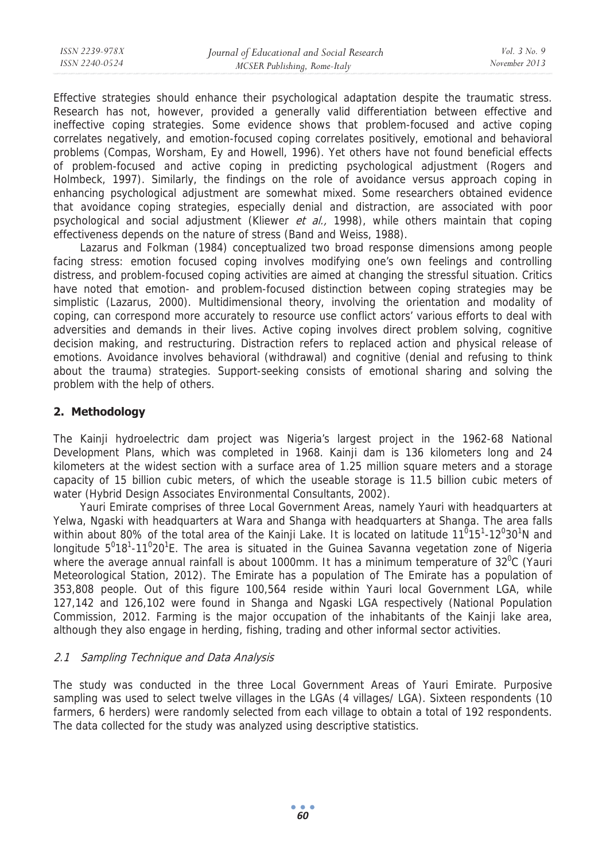Effective strategies should enhance their psychological adaptation despite the traumatic stress. Research has not, however, provided a generally valid differentiation between effective and ineffective coping strategies. Some evidence shows that problem-focused and active coping correlates negatively, and emotion-focused coping correlates positively, emotional and behavioral problems (Compas, Worsham, Ey and Howell, 1996). Yet others have not found beneficial effects of problem-focused and active coping in predicting psychological adjustment (Rogers and Holmbeck, 1997). Similarly, the findings on the role of avoidance versus approach coping in enhancing psychological adjustment are somewhat mixed. Some researchers obtained evidence that avoidance coping strategies, especially denial and distraction, are associated with poor psychological and social adjustment (Kliewer et  $al$ , 1998), while others maintain that coping effectiveness depends on the nature of stress (Band and Weiss, 1988).

Lazarus and Folkman (1984) conceptualized two broad response dimensions among people facing stress: emotion focused coping involves modifying one's own feelings and controlling distress, and problem-focused coping activities are aimed at changing the stressful situation. Critics have noted that emotion- and problem-focused distinction between coping strategies may be simplistic (Lazarus, 2000). Multidimensional theory, involving the orientation and modality of coping, can correspond more accurately to resource use conflict actors' various efforts to deal with adversities and demands in their lives. Active coping involves direct problem solving, cognitive decision making, and restructuring. Distraction refers to replaced action and physical release of emotions. Avoidance involves behavioral (withdrawal) and cognitive (denial and refusing to think about the trauma) strategies. Support-seeking consists of emotional sharing and solving the problem with the help of others.

## **2. Methodology**

The Kainji hydroelectric dam project was Nigeria's largest project in the 1962-68 National Development Plans, which was completed in 1968. Kainji dam is 136 kilometers long and 24 kilometers at the widest section with a surface area of 1.25 million square meters and a storage capacity of 15 billion cubic meters, of which the useable storage is 11.5 billion cubic meters of water (Hybrid Design Associates Environmental Consultants, 2002).

Yauri Emirate comprises of three Local Government Areas, namely Yauri with headquarters at Yelwa, Ngaski with headquarters at Wara and Shanga with headquarters at Shanga. The area falls within about 80% of the total area of the Kainji Lake. It is located on latitude  $11^{\overline{0}}15^1$ -12<sup>0</sup>30<sup>1</sup>N and longitude  $5^018^1$ -11<sup>0</sup>20<sup>1</sup>E. The area is situated in the Guinea Savanna vegetation zone of Nigeria where the average annual rainfall is about 1000mm. It has a minimum temperature of 32<sup>0</sup>C (Yauri Meteorological Station, 2012). The Emirate has a population of The Emirate has a population of 353,808 people. Out of this figure 100,564 reside within Yauri local Government LGA, while 127,142 and 126,102 were found in Shanga and Ngaski LGA respectively (National Population Commission, 2012. Farming is the major occupation of the inhabitants of the Kainji lake area, although they also engage in herding, fishing, trading and other informal sector activities.

## 2.1 Sampling Technique and Data Analysis

The study was conducted in the three Local Government Areas of Yauri Emirate. Purposive sampling was used to select twelve villages in the LGAs (4 villages/ LGA). Sixteen respondents (10 farmers, 6 herders) were randomly selected from each village to obtain a total of 192 respondents. The data collected for the study was analyzed using descriptive statistics.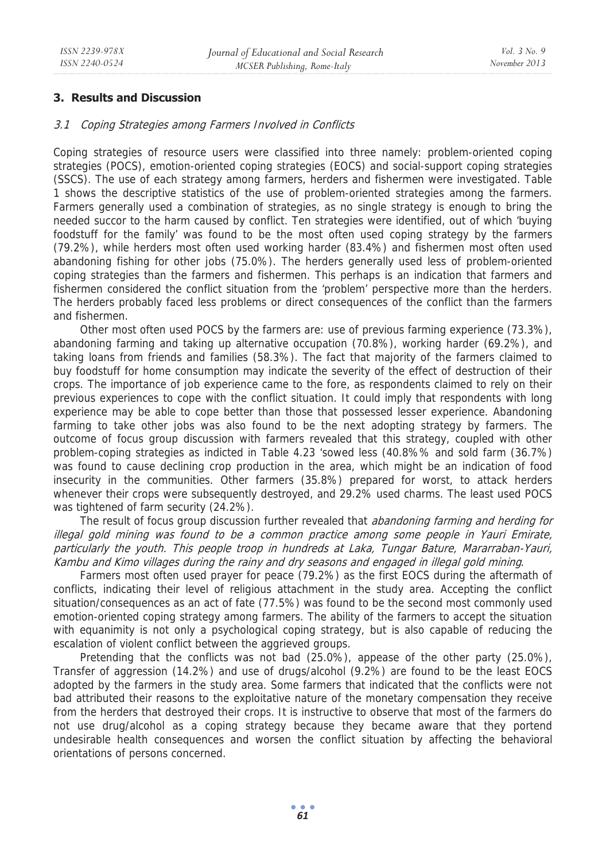## **3. Results and Discussion**

### 3.1 Coping Strategies among Farmers Involved in Conflicts

Coping strategies of resource users were classified into three namely: problem-oriented coping strategies (POCS), emotion-oriented coping strategies (EOCS) and social-support coping strategies (SSCS). The use of each strategy among farmers, herders and fishermen were investigated. Table 1 shows the descriptive statistics of the use of problem-oriented strategies among the farmers. Farmers generally used a combination of strategies, as no single strategy is enough to bring the needed succor to the harm caused by conflict. Ten strategies were identified, out of which 'buying foodstuff for the family' was found to be the most often used coping strategy by the farmers (79.2%), while herders most often used working harder (83.4%) and fishermen most often used abandoning fishing for other jobs (75.0%). The herders generally used less of problem-oriented coping strategies than the farmers and fishermen. This perhaps is an indication that farmers and fishermen considered the conflict situation from the 'problem' perspective more than the herders. The herders probably faced less problems or direct consequences of the conflict than the farmers and fishermen.

Other most often used POCS by the farmers are: use of previous farming experience (73.3%), abandoning farming and taking up alternative occupation (70.8%), working harder (69.2%), and taking loans from friends and families (58.3%). The fact that majority of the farmers claimed to buy foodstuff for home consumption may indicate the severity of the effect of destruction of their crops. The importance of job experience came to the fore, as respondents claimed to rely on their previous experiences to cope with the conflict situation. It could imply that respondents with long experience may be able to cope better than those that possessed lesser experience. Abandoning farming to take other jobs was also found to be the next adopting strategy by farmers. The outcome of focus group discussion with farmers revealed that this strategy, coupled with other problem-coping strategies as indicted in Table 4.23 'sowed less (40.8%% and sold farm (36.7%) was found to cause declining crop production in the area, which might be an indication of food insecurity in the communities. Other farmers (35.8%) prepared for worst, to attack herders whenever their crops were subsequently destroyed, and 29.2% used charms. The least used POCS was tightened of farm security (24.2%).

The result of focus group discussion further revealed that *abandoning farming and herding for* illegal gold mining was found to be a common practice among some people in Yauri Emirate, particularly the youth. This people troop in hundreds at Laka, Tungar Bature, Mararraban-Yauri, Kambu and Kimo villages during the rainy and dry seasons and engaged in illegal gold mining.

Farmers most often used prayer for peace (79.2%) as the first EOCS during the aftermath of conflicts, indicating their level of religious attachment in the study area. Accepting the conflict situation/consequences as an act of fate (77.5%) was found to be the second most commonly used emotion-oriented coping strategy among farmers. The ability of the farmers to accept the situation with equanimity is not only a psychological coping strategy, but is also capable of reducing the escalation of violent conflict between the aggrieved groups.

Pretending that the conflicts was not bad (25.0%), appease of the other party (25.0%), Transfer of aggression (14.2%) and use of drugs/alcohol (9.2%) are found to be the least EOCS adopted by the farmers in the study area. Some farmers that indicated that the conflicts were not bad attributed their reasons to the exploitative nature of the monetary compensation they receive from the herders that destroyed their crops. It is instructive to observe that most of the farmers do not use drug/alcohol as a coping strategy because they became aware that they portend undesirable health consequences and worsen the conflict situation by affecting the behavioral orientations of persons concerned.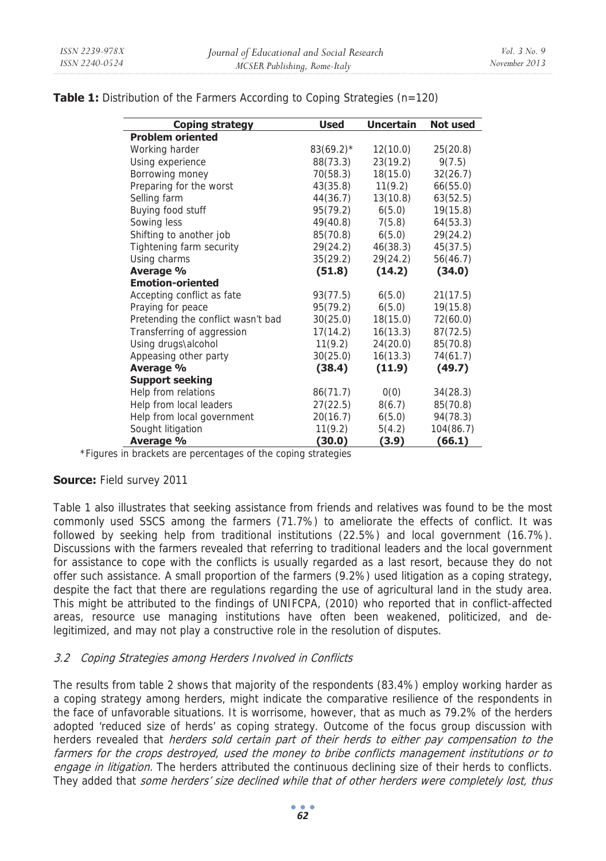| Coping strategy                    | <b>Used</b>  | <b>Uncertain</b> | Not used  |
|------------------------------------|--------------|------------------|-----------|
| <b>Problem oriented</b>            |              |                  |           |
| Working harder                     | $83(69.2)$ * | 12(10.0)         | 25(20.8)  |
| Using experience                   | 88(73.3)     | 23(19.2)         | 9(7.5)    |
| Borrowing money                    | 70(58.3)     | 18(15.0)         | 32(26.7)  |
| Preparing for the worst            | 43(35.8)     | 11(9.2)          | 66(55.0)  |
| Selling farm                       | 44(36.7)     | 13(10.8)         | 63(52.5)  |
| Buying food stuff                  | 95(79.2)     | 6(5.0)           | 19(15.8)  |
| Sowing less                        | 49(40.8)     | 7(5.8)           | 64(53.3)  |
| Shifting to another job            | 85(70.8)     | 6(5.0)           | 29(24.2)  |
| Tightening farm security           | 29(24.2)     | 46(38.3)         | 45(37.5)  |
| Using charms                       | 35(29.2)     | 29(24.2)         | 56(46.7)  |
| Average %                          | (51.8)       | (14.2)           | (34.0)    |
| <b>Emotion-oriented</b>            |              |                  |           |
| Accepting conflict as fate         | 93(77.5)     | 6(5.0)           | 21(17.5)  |
| Praying for peace                  | 95(79.2)     | 6(5.0)           | 19(15.8)  |
| Pretending the conflict wasn't bad | 30(25.0)     | 18(15.0)         | 72(60.0)  |
| Transferring of aggression         | 17(14.2)     | 16(13.3)         | 87(72.5)  |
| Using drugs\alcohol                | 11(9.2)      | 24(20.0)         | 85(70.8)  |
| Appeasing other party              | 30(25.0)     | 16(13.3)         | 74(61.7)  |
| Average %                          | (38.4)       | (11.9)           | (49.7)    |
| <b>Support seeking</b>             |              |                  |           |
| Help from relations                | 86(71.7)     | 0(0)             | 34(28.3)  |
| Help from local leaders            | 27(22.5)     | 8(6.7)           | 85(70.8)  |
| Help from local government         | 20(16.7)     | 6(5.0)           | 94(78.3)  |
| Sought litigation                  | 11(9.2)      | 5(4.2)           | 104(86.7) |
| Average %                          | (30.0)       | (3.9)            | (66.1)    |

**Table 1:** Distribution of the Farmers According to Coping Strategies (n=120)

\*Figures in brackets are percentages of the coping strategies

## **Source:** Field survey 2011

Table 1 also illustrates that seeking assistance from friends and relatives was found to be the most commonly used SSCS among the farmers (71.7%) to ameliorate the effects of conflict. It was followed by seeking help from traditional institutions (22.5%) and local government (16.7%). Discussions with the farmers revealed that referring to traditional leaders and the local government for assistance to cope with the conflicts is usually regarded as a last resort, because they do not offer such assistance. A small proportion of the farmers (9.2%) used litigation as a coping strategy, despite the fact that there are regulations regarding the use of agricultural land in the study area. This might be attributed to the findings of UNIFCPA, (2010) who reported that in conflict-affected areas, resource use managing institutions have often been weakened, politicized, and delegitimized, and may not play a constructive role in the resolution of disputes.

## 3.2 Coping Strategies among Herders Involved in Conflicts

The results from table 2 shows that majority of the respondents (83.4%) employ working harder as a coping strategy among herders, might indicate the comparative resilience of the respondents in the face of unfavorable situations. It is worrisome, however, that as much as 79.2% of the herders adopted 'reduced size of herds' as coping strategy. Outcome of the focus group discussion with herders revealed that *herders sold certain part of their herds to either pay compensation to the* farmers for the crops destroyed, used the money to bribe conflicts management institutions or to engage in litigation. The herders attributed the continuous declining size of their herds to conflicts. They added that some herders' size declined while that of other herders were completely lost, thus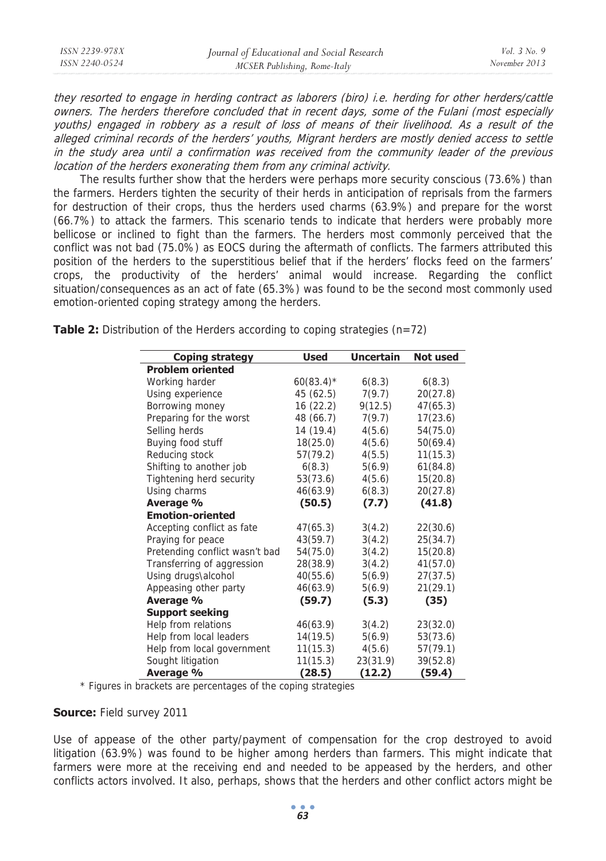| ISSN 2239-978X | Journal of Educational and Social Research | <i>Vol.</i> $3$ No. 9 |
|----------------|--------------------------------------------|-----------------------|
| ISSN 2240-0524 | MCSER Publishing, Rome-Italy               | November 2013         |
|                |                                            |                       |

they resorted to engage in herding contract as laborers (biro) i.e. herding for other herders/cattle owners. The herders therefore concluded that in recent days, some of the Fulani (most especially youths) engaged in robbery as a result of loss of means of their livelihood. As a result of the alleged criminal records of the herders' youths, Migrant herders are mostly denied access to settle in the study area until a confirmation was received from the community leader of the previous location of the herders exonerating them from any criminal activity.

The results further show that the herders were perhaps more security conscious (73.6%) than the farmers. Herders tighten the security of their herds in anticipation of reprisals from the farmers for destruction of their crops, thus the herders used charms (63.9%) and prepare for the worst (66.7%) to attack the farmers. This scenario tends to indicate that herders were probably more bellicose or inclined to fight than the farmers. The herders most commonly perceived that the conflict was not bad (75.0%) as EOCS during the aftermath of conflicts. The farmers attributed this position of the herders to the superstitious belief that if the herders' flocks feed on the farmers' crops, the productivity of the herders' animal would increase. Regarding the conflict situation/consequences as an act of fate (65.3%) was found to be the second most commonly used emotion-oriented coping strategy among the herders.

| Coping strategy                | <b>Used</b>  | Uncertain | Not used |
|--------------------------------|--------------|-----------|----------|
| <b>Problem oriented</b>        |              |           |          |
| Working harder                 | $60(83.4)$ * | 6(8.3)    | 6(8.3)   |
| Using experience               | 45 (62.5)    | 7(9.7)    | 20(27.8) |
| Borrowing money                | 16(22.2)     | 9(12.5)   | 47(65.3) |
| Preparing for the worst        | 48 (66.7)    | 7(9.7)    | 17(23.6) |
| Selling herds                  | 14 (19.4)    | 4(5.6)    | 54(75.0) |
| Buying food stuff              | 18(25.0)     | 4(5.6)    | 50(69.4) |
| Reducing stock                 | 57(79.2)     | 4(5.5)    | 11(15.3) |
| Shifting to another job        | 6(8.3)       | 5(6.9)    | 61(84.8) |
| Tightening herd security       | 53(73.6)     | 4(5.6)    | 15(20.8) |
| Using charms                   | 46(63.9)     | 6(8.3)    | 20(27.8) |
| Average %                      | (50.5)       | (7.7)     | (41.8)   |
| <b>Emotion-oriented</b>        |              |           |          |
| Accepting conflict as fate     | 47(65.3)     | 3(4.2)    | 22(30.6) |
| Praying for peace              | 43(59.7)     | 3(4.2)    | 25(34.7) |
| Pretending conflict wasn't bad | 54(75.0)     | 3(4.2)    | 15(20.8) |
| Transferring of aggression     | 28(38.9)     | 3(4.2)    | 41(57.0) |
| Using drugs\alcohol            | 40(55.6)     | 5(6.9)    | 27(37.5) |
| Appeasing other party          | 46(63.9)     | 5(6.9)    | 21(29.1) |
| Average %                      | (59.7)       | (5.3)     | (35)     |
| <b>Support seeking</b>         |              |           |          |
| Help from relations            | 46(63.9)     | 3(4.2)    | 23(32.0) |
| Help from local leaders        | 14(19.5)     | 5(6.9)    | 53(73.6) |
| Help from local government     | 11(15.3)     | 4(5.6)    | 57(79.1) |
| Sought litigation              | 11(15.3)     | 23(31.9)  | 39(52.8) |
| Average %                      | (28.5)       | (12.2)    | (59.4)   |

**Table 2:** Distribution of the Herders according to coping strategies (n=72)

\* Figures in brackets are percentages of the coping strategies

### **Source:** Field survey 2011

Use of appease of the other party/payment of compensation for the crop destroyed to avoid litigation (63.9%) was found to be higher among herders than farmers. This might indicate that farmers were more at the receiving end and needed to be appeased by the herders, and other conflicts actors involved. It also, perhaps, shows that the herders and other conflict actors might be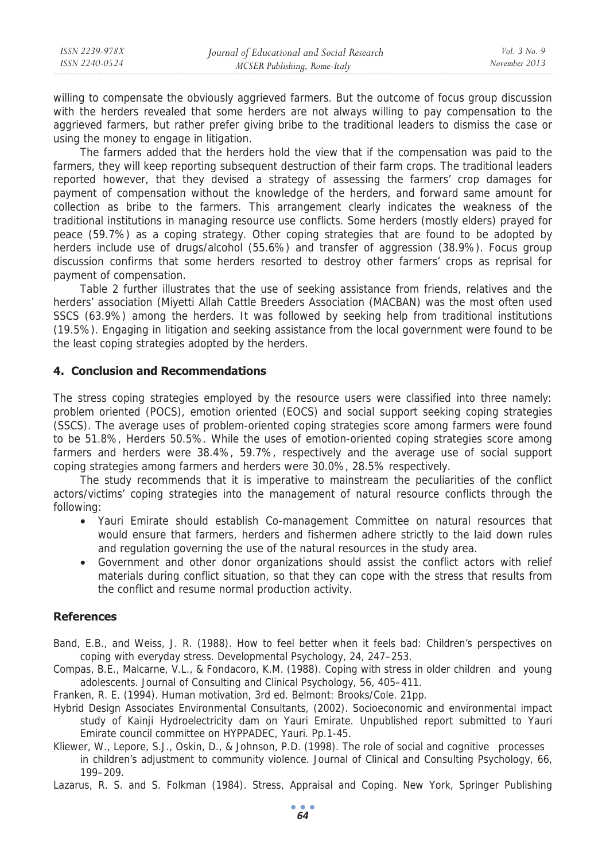willing to compensate the obviously aggrieved farmers. But the outcome of focus group discussion with the herders revealed that some herders are not always willing to pay compensation to the aggrieved farmers, but rather prefer giving bribe to the traditional leaders to dismiss the case or using the money to engage in litigation.

The farmers added that the herders hold the view that if the compensation was paid to the farmers, they will keep reporting subsequent destruction of their farm crops. The traditional leaders reported however, that they devised a strategy of assessing the farmers' crop damages for payment of compensation without the knowledge of the herders, and forward same amount for collection as bribe to the farmers. This arrangement clearly indicates the weakness of the traditional institutions in managing resource use conflicts. Some herders (mostly elders) prayed for peace (59.7%) as a coping strategy. Other coping strategies that are found to be adopted by herders include use of drugs/alcohol (55.6%) and transfer of aggression (38.9%). Focus group discussion confirms that some herders resorted to destroy other farmers' crops as reprisal for payment of compensation.

Table 2 further illustrates that the use of seeking assistance from friends, relatives and the herders' association (Miyetti Allah Cattle Breeders Association (MACBAN) was the most often used SSCS (63.9%) among the herders. It was followed by seeking help from traditional institutions (19.5%). Engaging in litigation and seeking assistance from the local government were found to be the least coping strategies adopted by the herders.

## **4. Conclusion and Recommendations**

The stress coping strategies employed by the resource users were classified into three namely: problem oriented (POCS), emotion oriented (EOCS) and social support seeking coping strategies (SSCS). The average uses of problem-oriented coping strategies score among farmers were found to be 51.8%, Herders 50.5%. While the uses of emotion-oriented coping strategies score among farmers and herders were 38.4%, 59.7%, respectively and the average use of social support coping strategies among farmers and herders were 30.0%, 28.5% respectively.

The study recommends that it is imperative to mainstream the peculiarities of the conflict actors/victims' coping strategies into the management of natural resource conflicts through the following:

- Yauri Emirate should establish Co-management Committee on natural resources that would ensure that farmers, herders and fishermen adhere strictly to the laid down rules and regulation governing the use of the natural resources in the study area.
- Government and other donor organizations should assist the conflict actors with relief materials during conflict situation, so that they can cope with the stress that results from the conflict and resume normal production activity.

#### **References**

- Band, E.B., and Weiss, J. R. (1988). How to feel better when it feels bad: Children's perspectives on coping with everyday stress. Developmental Psychology, 24, 247–253.
- Compas, B.E., Malcarne, V.L., & Fondacoro, K.M. (1988). Coping with stress in older children and young adolescents. Journal of Consulting and Clinical Psychology, 56, 405–411.
- Franken, R. E. (1994). Human motivation, 3rd ed. Belmont: Brooks/Cole. 21pp.
- Hybrid Design Associates Environmental Consultants, (2002). Socioeconomic and environmental impact study of Kainji Hydroelectricity dam on Yauri Emirate. Unpublished report submitted to Yauri Emirate council committee on HYPPADEC, Yauri. Pp.1-45.
- Kliewer, W., Lepore, S.J., Oskin, D., & Johnson, P.D. (1998). The role of social and cognitive processes in children's adjustment to community violence. Journal of Clinical and Consulting Psychology, 66, 199–209.
- Lazarus, R. S. and S. Folkman (1984). Stress, Appraisal and Coping. New York, Springer Publishing